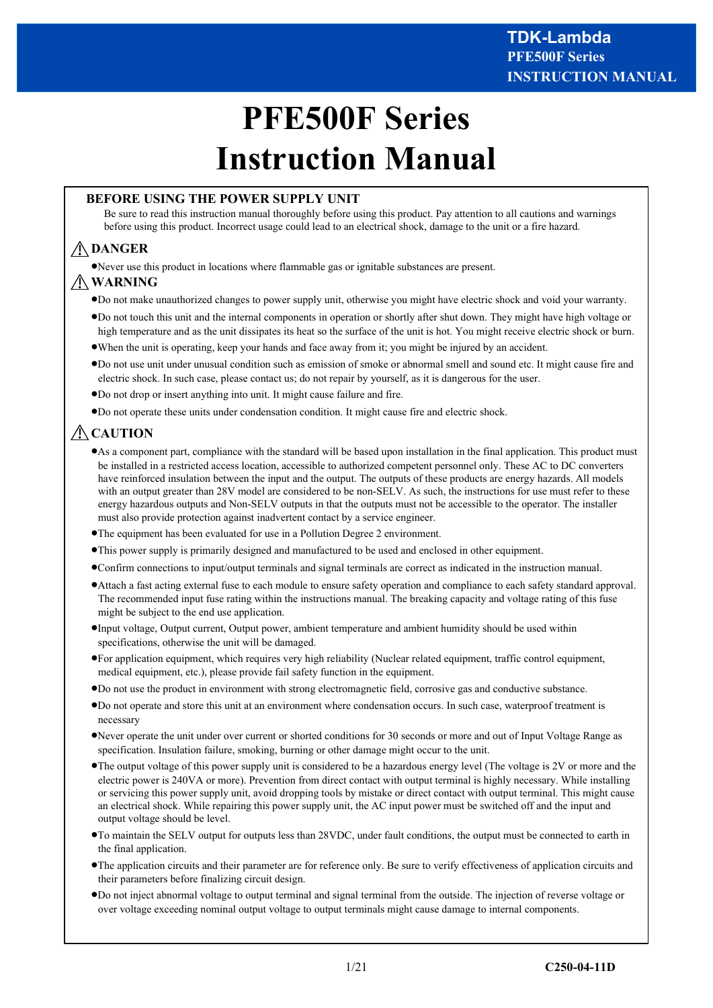# **PFE500F Series Instruction Manual**

### **BEFORE USING THE POWER SUPPLY UNIT**

Be sure to read this instruction manual thoroughly before using this product. Pay attention to all cautions and warnings before using this product. Incorrect usage could lead to an electrical shock, damage to the unit or a fire hazard.

# **DANGER**

·Never use this product in locations where flammable gas or ignitable substances are present.

# **WARNING**

- ·Do not make unauthorized changes to power supply unit, otherwise you might have electric shock and void your warranty.
- ·Do not touch this unit and the internal components in operation or shortly after shut down. They might have high voltage or high temperature and as the unit dissipates its heat so the surface of the unit is hot. You might receive electric shock or burn.
- ·When the unit is operating, keep your hands and face away from it; you might be injured by an accident.
- ·Do not use unit under unusual condition such as emission of smoke or abnormal smell and sound etc. It might cause fire and electric shock. In such case, please contact us; do not repair by yourself, as it is dangerous for the user.
- ·Do not drop or insert anything into unit. It might cause failure and fire.
- ·Do not operate these units under condensation condition. It might cause fire and electric shock.

# **CAUTION**

- ·As a component part, compliance with the standard will be based upon installation in the final application. This product must be installed in a restricted access location, accessible to authorized competent personnel only. These AC to DC converters have reinforced insulation between the input and the output. The outputs of these products are energy hazards. All models with an output greater than 28V model are considered to be non-SELV. As such, the instructions for use must refer to these energy hazardous outputs and Non-SELV outputs in that the outputs must not be accessible to the operator. The installer must also provide protection against inadvertent contact by a service engineer.
- ·The equipment has been evaluated for use in a Pollution Degree 2 environment.
- ·This power supply is primarily designed and manufactured to be used and enclosed in other equipment.
- ·Confirm connections to input/output terminals and signal terminals are correct as indicated in the instruction manual.
- ·Attach a fast acting external fuse to each module to ensure safety operation and compliance to each safety standard approval. The recommended input fuse rating within the instructions manual. The breaking capacity and voltage rating of this fuse might be subject to the end use application.
- ·Input voltage, Output current, Output power, ambient temperature and ambient humidity should be used within specifications, otherwise the unit will be damaged.
- ·For application equipment, which requires very high reliability (Nuclear related equipment, traffic control equipment, medical equipment, etc.), please provide fail safety function in the equipment.
- ·Do not use the product in environment with strong electromagnetic field, corrosive gas and conductive substance.
- ·Do not operate and store this unit at an environment where condensation occurs. In such case, waterproof treatment is necessary
- ·Never operate the unit under over current or shorted conditions for 30 seconds or more and out of Input Voltage Range as specification. Insulation failure, smoking, burning or other damage might occur to the unit.
- ·The output voltage of this power supply unit is considered to be a hazardous energy level (The voltage is 2V or more and the electric power is 240VA or more). Prevention from direct contact with output terminal is highly necessary. While installing or servicing this power supply unit, avoid dropping tools by mistake or direct contact with output terminal. This might cause an electrical shock. While repairing this power supply unit, the AC input power must be switched off and the input and output voltage should be level.
- ·To maintain the SELV output for outputs less than 28VDC, under fault conditions, the output must be connected to earth in the final application.
- ·The application circuits and their parameter are for reference only. Be sure to verify effectiveness of application circuits and their parameters before finalizing circuit design.
- ·Do not inject abnormal voltage to output terminal and signal terminal from the outside. The injection of reverse voltage or over voltage exceeding nominal output voltage to output terminals might cause damage to internal components.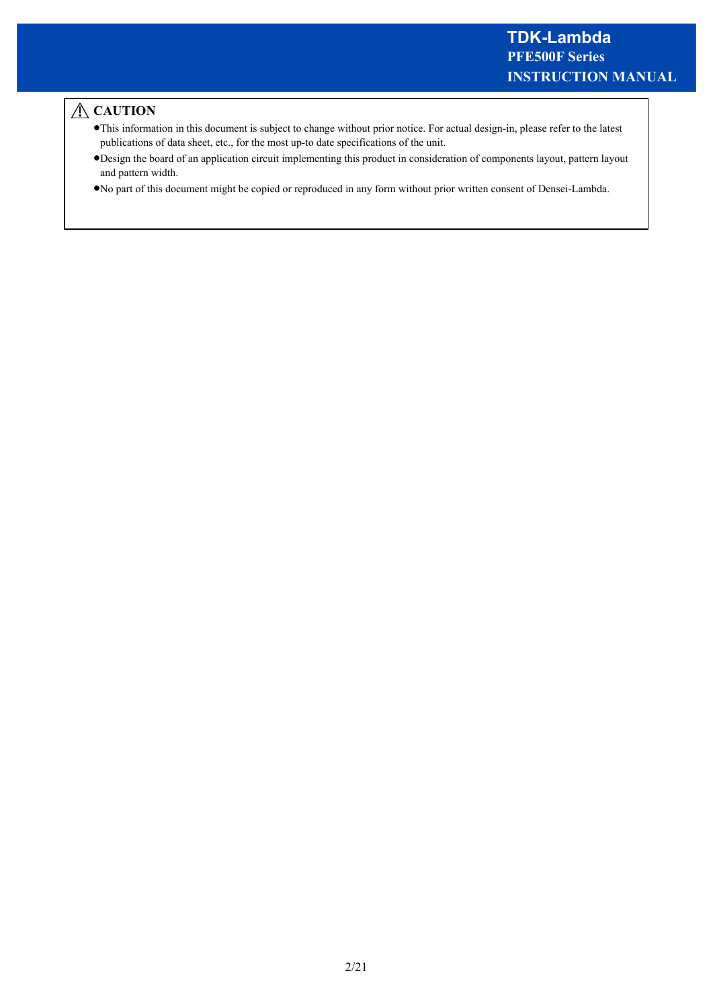# **△CAUTION**

- ·This information in this document is subject to change without prior notice. For actual design-in, please refer to the latest publications of data sheet, etc., for the most up-to date specifications of the unit.
- ·Design the board of an application circuit implementing this product in consideration of components layout, pattern layout and pattern width.
- ·No part of this document might be copied or reproduced in any form without prior written consent of Densei-Lambda.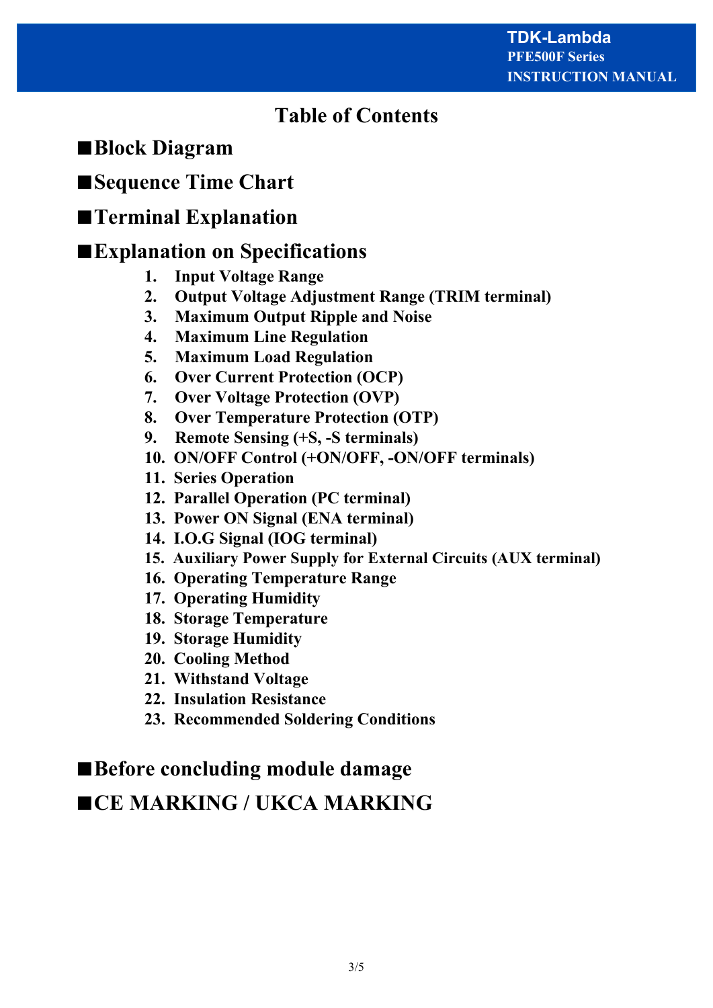# **Table of Contents**

# ■**Block Diagram**

# ■**Sequence Time Chart**

# ■**Terminal Explanation**

# ■**Explanation on Specifications**

- **1. Input Voltage Range**
- **2. Output Voltage Adjustment Range (TRIM terminal)**
- **3. Maximum Output Ripple and Noise**
- **4. Maximum Line Regulation**
- **5. Maximum Load Regulation**
- **6. Over Current Protection (OCP)**
- **7. Over Voltage Protection (OVP)**
- **8. Over Temperature Protection (OTP)**
- **9. Remote Sensing (+S, -S terminals)**
- **10. ON/OFF Control (+ON/OFF, -ON/OFF terminals)**
- **11. Series Operation**
- **12. Parallel Operation (PC terminal)**
- **13. Power ON Signal (ENA terminal)**
- **14. I.O.G Signal (IOG terminal)**
- **15. Auxiliary Power Supply for External Circuits (AUX terminal)**
- **16. Operating Temperature Range**
- **17. Operating Humidity**
- **18. Storage Temperature**
- **19. Storage Humidity**
- **20. Cooling Method**
- **21. Withstand Voltage**
- **22. Insulation Resistance**
- **23. Recommended Soldering Conditions**

# ■**Before concluding module damage**

# ■**CE MARKING / UKCA MARKING**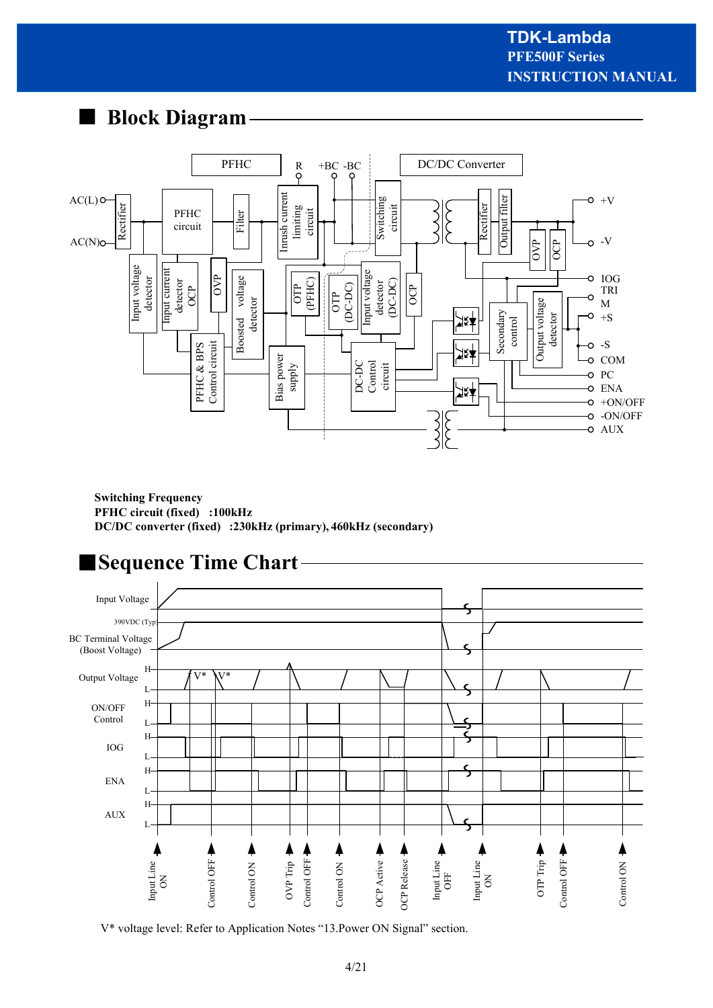# ■ **Block Diagram**



**Switching Frequency PFHC circuit (fixed) :100kHz DC/DC converter (fixed) :230kHz (primary), 460kHz (secondary)**



V\* voltage level: Refer to Application Notes "13.Power ON Signal" section.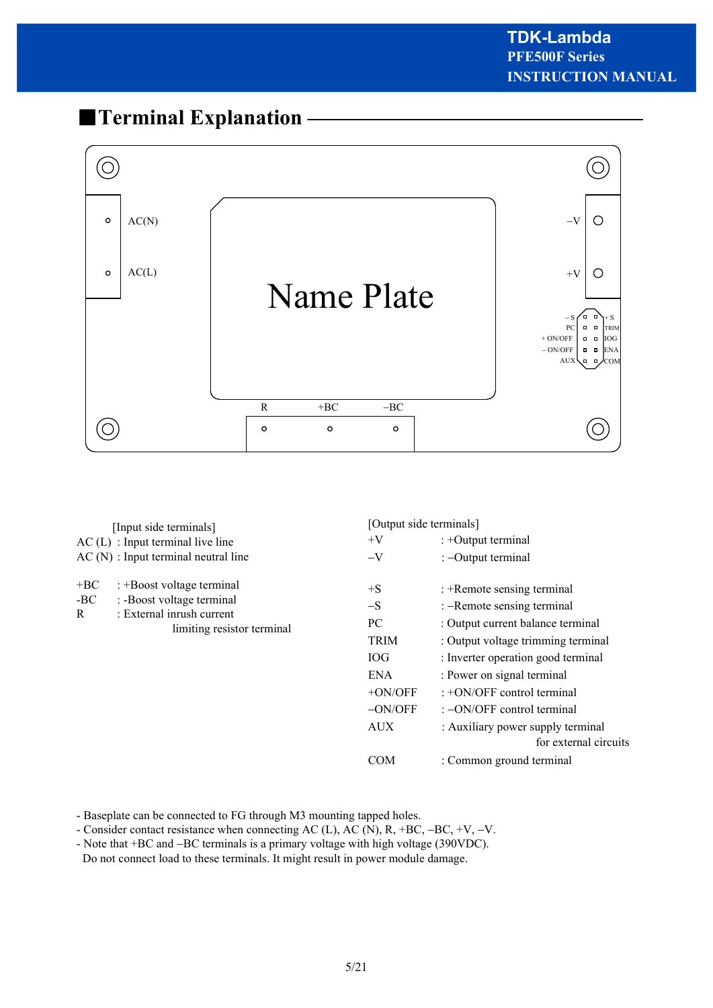# ■**Terminal Explanation**



| [Input side terminals]                                                                             |                                       | [Output side terminals] |                                                            |
|----------------------------------------------------------------------------------------------------|---------------------------------------|-------------------------|------------------------------------------------------------|
|                                                                                                    | $AC(L)$ : Input terminal live line    | $+V$                    | : +Output terminal                                         |
|                                                                                                    | $AC(N)$ : Input terminal neutral line | $-V$                    | : -Output terminal                                         |
| $+BC$                                                                                              | : +Boost voltage terminal             | $+S$                    | : +Remote sensing terminal                                 |
| $-BC$<br>: -Boost voltage terminal<br>: External inrush current<br>R<br>limiting resistor terminal |                                       | $-S$                    | : -Remote sensing terminal                                 |
|                                                                                                    |                                       | PC                      | : Output current balance terminal                          |
|                                                                                                    |                                       | TRIM                    | : Output voltage trimming terminal                         |
|                                                                                                    |                                       | <b>IOG</b>              | : Inverter operation good terminal                         |
|                                                                                                    |                                       | <b>ENA</b>              | : Power on signal terminal                                 |
|                                                                                                    |                                       | $+ON/OFF$               | $: +ON/OFF$ control terminal                               |
|                                                                                                    |                                       | $-ON/OFF$               | $\div$ -ON/OFF control terminal                            |
|                                                                                                    |                                       | <b>AUX</b>              | : Auxiliary power supply terminal<br>for external circuits |
|                                                                                                    |                                       | <b>COM</b>              | : Common ground terminal                                   |

- Baseplate can be connected to FG through M3 mounting tapped holes.

- Consider contact resistance when connecting AC (L), AC (N), R, +BC, -BC, +V, -V.

- Note that +BC and -BC terminals is a primary voltage with high voltage (390VDC). Do not connect load to these terminals. It might result in power module damage.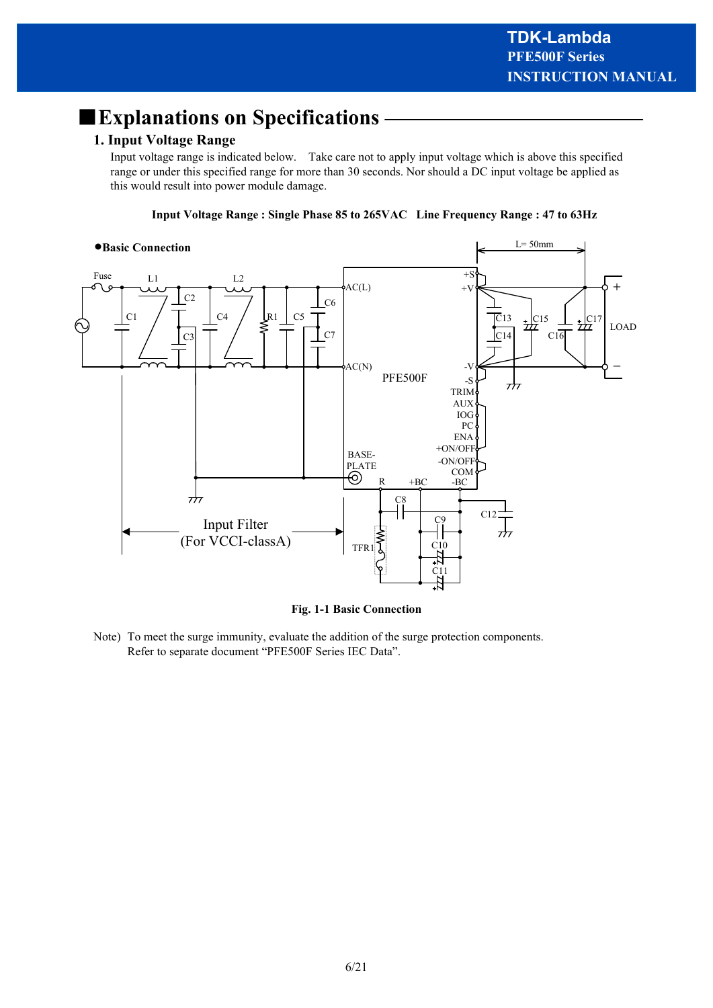# ■**Explanations on Specifications**

# **1. Input Voltage Range**

Input voltage range is indicated below. Take care not to apply input voltage which is above this specified range or under this specified range for more than 30 seconds. Nor should a DC input voltage be applied as this would result into power module damage.

**Input Voltage Range : Single Phase 85 to 265VAC Line Frequency Range : 47 to 63Hz**



**Fig. 1-1 Basic Connection**

Note) To meet the surge immunity, evaluate the addition of the surge protection components. Refer to separate document "PFE500F Series IEC Data".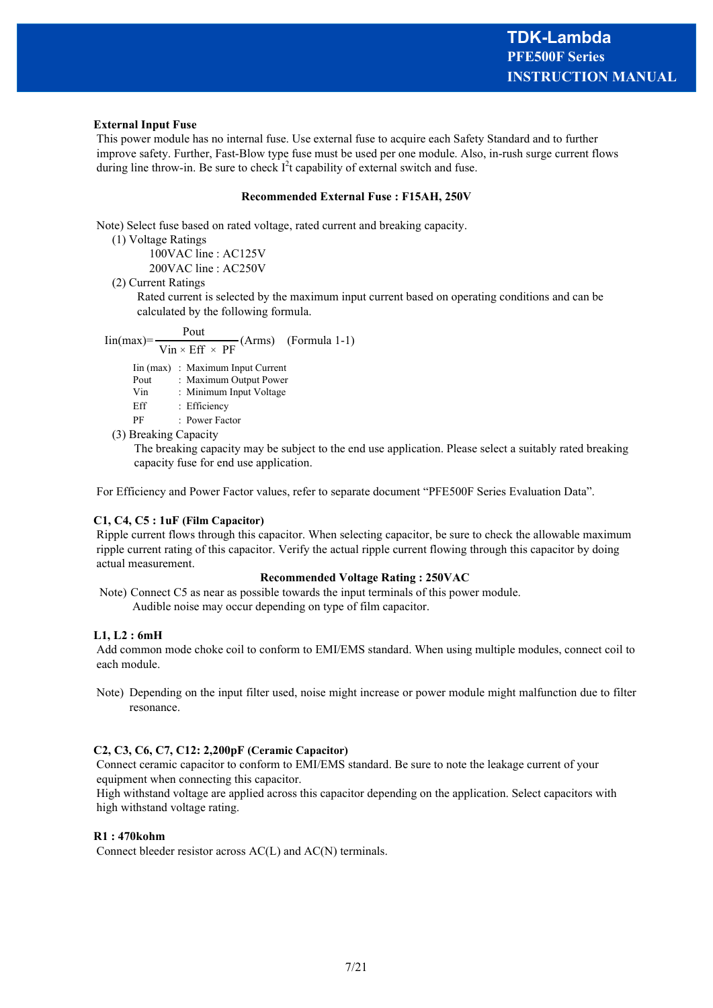#### **External Input Fuse**

 This power module has no internal fuse. Use external fuse to acquire each Safety Standard and to further improve safety. Further, Fast-Blow type fuse must be used per one module. Also, in-rush surge current flows during line throw-in. Be sure to check  $I<sup>2</sup>$ t capability of external switch and fuse.

#### **Recommended External Fuse : F15AH, 250V**

Note) Select fuse based on rated voltage, rated current and breaking capacity.

(1) Voltage Ratings

100VAC line : AC125V

200VAC line : AC250V

(2) Current Ratings

 Rated current is selected by the maximum input current based on operating conditions and can be calculated by the following formula.

$$
lin(max) = \frac{Pout}{Vin \times Eff \times PF} (Arms) \quad (Formula 1-1)
$$

Iin (max) : Maximum Input Current

Pout : Maximum Output Power

Vin : Minimum Input Voltage

Eff : Efficiency

PF : Power Factor

(3) Breaking Capacity

The breaking capacity may be subject to the end use application. Please select a suitably rated breaking capacity fuse for end use application.

For Efficiency and Power Factor values, refer to separate document "PFE500F Series Evaluation Data".

#### **C1, C4, C5 : 1uF (Film Capacitor)**

 Ripple current flows through this capacitor. When selecting capacitor, be sure to check the allowable maximum ripple current rating of this capacitor. Verify the actual ripple current flowing through this capacitor by doing actual measurement.

#### **Recommended Voltage Rating : 250VAC**

 Note) Connect C5 as near as possible towards the input terminals of this power module. Audible noise may occur depending on type of film capacitor.

#### **L1, L2 : 6mH**

 Add common mode choke coil to conform to EMI/EMS standard. When using multiple modules, connect coil to each module.

 Note) Depending on the input filter used, noise might increase or power module might malfunction due to filter resonance.

#### **C2, C3, C6, C7, C12: 2,200pF (Ceramic Capacitor)**

 Connect ceramic capacitor to conform to EMI/EMS standard. Be sure to note the leakage current of your equipment when connecting this capacitor.

 High withstand voltage are applied across this capacitor depending on the application. Select capacitors with high withstand voltage rating.

#### **R1 : 470kohm**

Connect bleeder resistor across AC(L) and AC(N) terminals.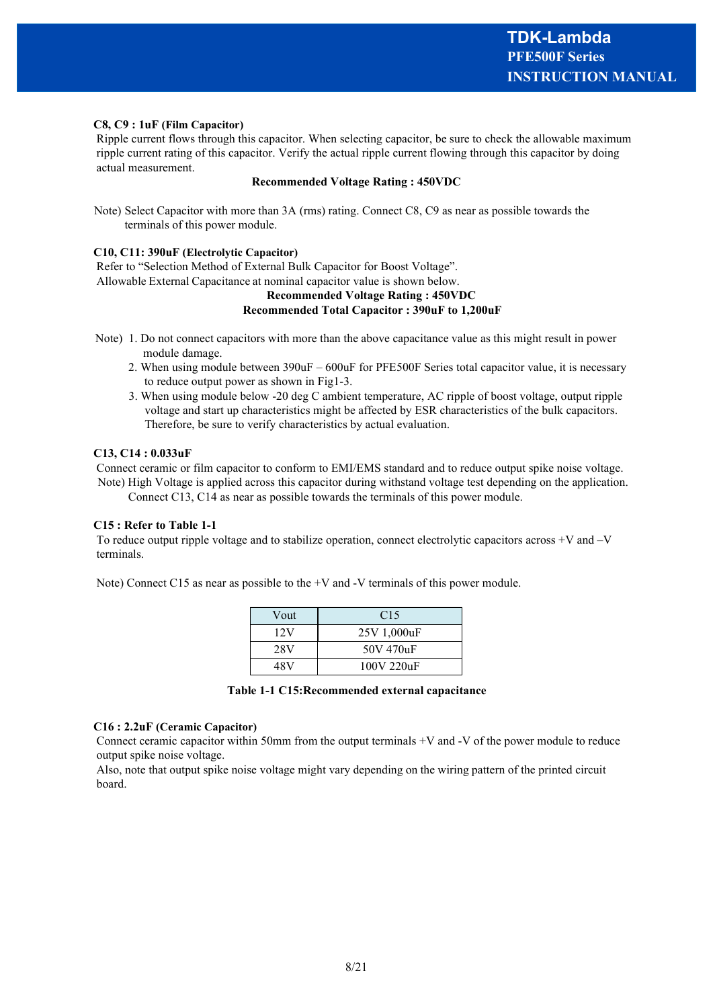#### **C8, C9 : 1uF (Film Capacitor)**

 Ripple current flows through this capacitor. When selecting capacitor, be sure to check the allowable maximum ripple current rating of this capacitor. Verify the actual ripple current flowing through this capacitor by doing actual measurement.

#### **Recommended Voltage Rating : 450VDC**

 Note) Select Capacitor with more than 3A (rms) rating. Connect C8, C9 as near as possible towards the terminals of this power module.

#### **C10, C11: 390uF (Electrolytic Capacitor)**

 Refer to "Selection Method of External Bulk Capacitor for Boost Voltage". Allowable External Capacitance at nominal capacitor value is shown below.

### **Recommended Voltage Rating : 450VDC Recommended Total Capacitor : 390uF to 1,200uF**

- Note) 1. Do not connect capacitors with more than the above capacitance value as this might result in power module damage.
	- 2. When using module between 390uF 600uF for PFE500F Series total capacitor value, it is necessary to reduce output power as shown in Fig1-3.
	- 3. When using module below -20 deg C ambient temperature, AC ripple of boost voltage, output ripple voltage and start up characteristics might be affected by ESR characteristics of the bulk capacitors. Therefore, be sure to verify characteristics by actual evaluation.

#### **C13, C14 : 0.033uF**

 Connect ceramic or film capacitor to conform to EMI/EMS standard and to reduce output spike noise voltage. Note) High Voltage is applied across this capacitor during withstand voltage test depending on the application. Connect C13, C14 as near as possible towards the terminals of this power module.

#### **C15 : Refer to Table 1-1**

 To reduce output ripple voltage and to stabilize operation, connect electrolytic capacitors across +V and –V terminals.

Note) Connect C15 as near as possible to the +V and -V terminals of this power module.

| Vout | C <sub>15</sub> |
|------|-----------------|
| 12V  | 25V 1,000uF     |
| 28V  | 50V 470uF       |
| 48V  | 100V 220uF      |

#### **C16 : 2.2uF (Ceramic Capacitor)**

 Connect ceramic capacitor within 50mm from the output terminals +V and -V of the power module to reduce output spike noise voltage.

 Also, note that output spike noise voltage might vary depending on the wiring pattern of the printed circuit board.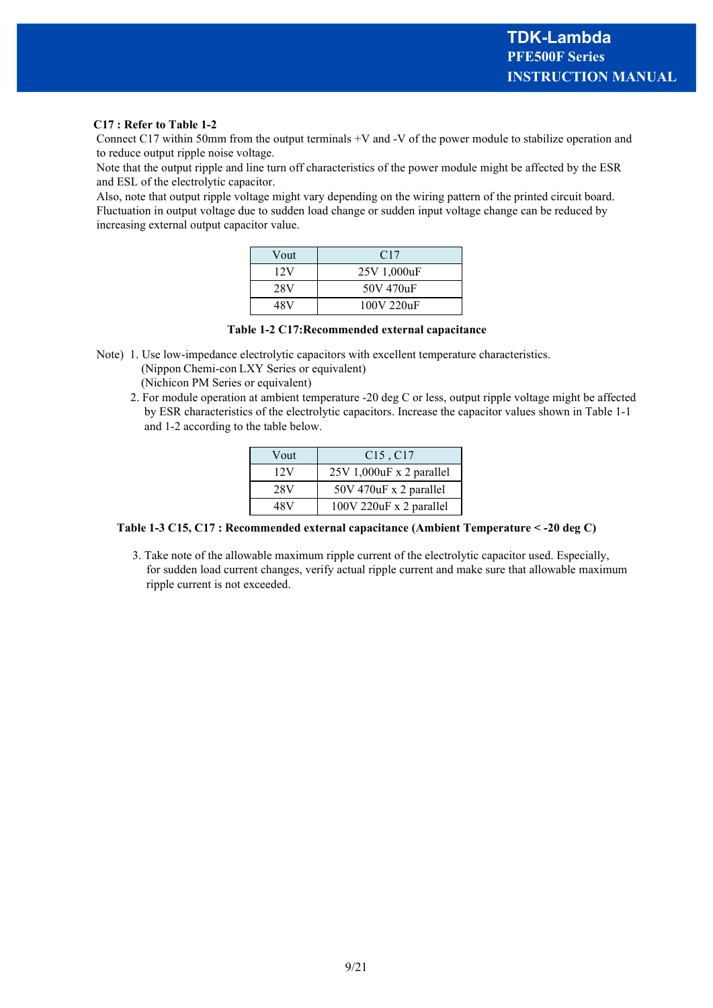#### **C17 : Refer to Table 1-2**

 Connect C17 within 50mm from the output terminals +V and -V of the power module to stabilize operation and to reduce output ripple noise voltage.

 Note that the output ripple and line turn off characteristics of the power module might be affected by the ESR and ESL of the electrolytic capacitor.

 Also, note that output ripple voltage might vary depending on the wiring pattern of the printed circuit board. Fluctuation in output voltage due to sudden load change or sudden input voltage change can be reduced by increasing external output capacitor value.

| Vout | C17         |
|------|-------------|
| 12V  | 25V 1,000uF |
| 28V  | 50V 470uF   |
| 48V  | 100V 220uF  |

**Table 1-2 C17:Recommended external capacitance**

 Note) 1. Use low-impedance electrolytic capacitors with excellent temperature characteristics. (Nippon Chemi-con LXY Series or equivalent)

(Nichicon PM Series or equivalent)

 2. For module operation at ambient temperature -20 deg C or less, output ripple voltage might be affected by ESR characteristics of the electrolytic capacitors. Increase the capacitor values shown in Table 1-1 and 1-2 according to the table below.

| Vout | $C15$ , $C17$            |
|------|--------------------------|
| 12V  | 25V 1,000uF x 2 parallel |
| 28V  | 50V 470uF x 2 parallel   |
| 48V  | 100V 220uF x 2 parallel  |

### **Table 1-3 C15, C17 : Recommended external capacitance (Ambient Temperature < -20 deg C)**

 3. Take note of the allowable maximum ripple current of the electrolytic capacitor used. Especially, for sudden load current changes, verify actual ripple current and make sure that allowable maximum ripple current is not exceeded.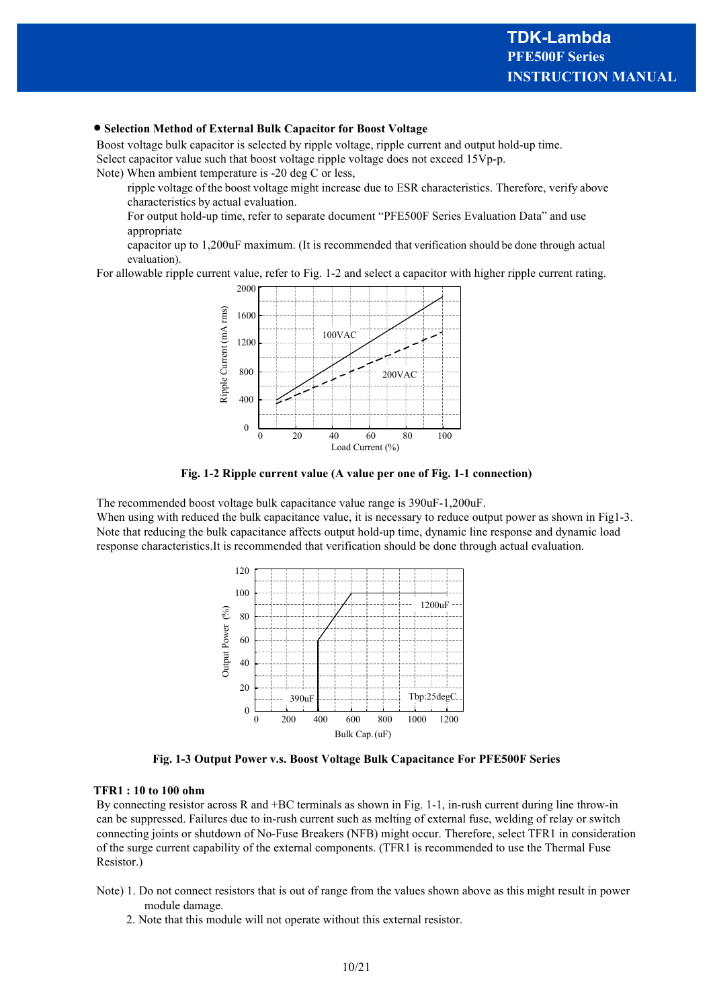#### · **Selection Method of External Bulk Capacitor for Boost Voltage**

 Boost voltage bulk capacitor is selected by ripple voltage, ripple current and output hold-up time. Select capacitor value such that boost voltage ripple voltage does not exceed 15Vp-p.

Note) When ambient temperature is -20 deg C or less,

ripple voltage of the boost voltage might increase due to ESR characteristics. Therefore, verify above characteristics by actual evaluation.

For output hold-up time, refer to separate document "PFE500F Series Evaluation Data" and use appropriate

capacitor up to 1,200uF maximum. (It is recommended that verification should be done through actual evaluation).

For allowable ripple current value, refer to Fig. 1-2 and select a capacitor with higher ripple current rating.



**Fig. 1-2 Ripple current value (A value per one of Fig. 1-1 connection)**

 The recommended boost voltage bulk capacitance value range is 390uF-1,200uF. When using with reduced the bulk capacitance value, it is necessary to reduce output power as shown in Fig1-3. Note that reducing the bulk capacitance affects output hold-up time, dynamic line response and dynamic load response characteristics.It is recommended that verification should be done through actual evaluation.



**Fig. 1-3 Output Power v.s. Boost Voltage Bulk Capacitance For PFE500F Series**

#### **TFR1 : 10 to 100 ohm**

 By connecting resistor across R and +BC terminals as shown in Fig. 1-1, in-rush current during line throw-in can be suppressed. Failures due to in-rush current such as melting of external fuse, welding of relay or switch connecting joints or shutdown of No-Fuse Breakers (NFB) might occur. Therefore, select TFR1 in consideration of the surge current capability of the external components. (TFR1 is recommended to use the Thermal Fuse Resistor.)

- Note) 1. Do not connect resistors that is out of range from the values shown above as this might result in power module damage.
	- 2. Note that this module will not operate without this external resistor.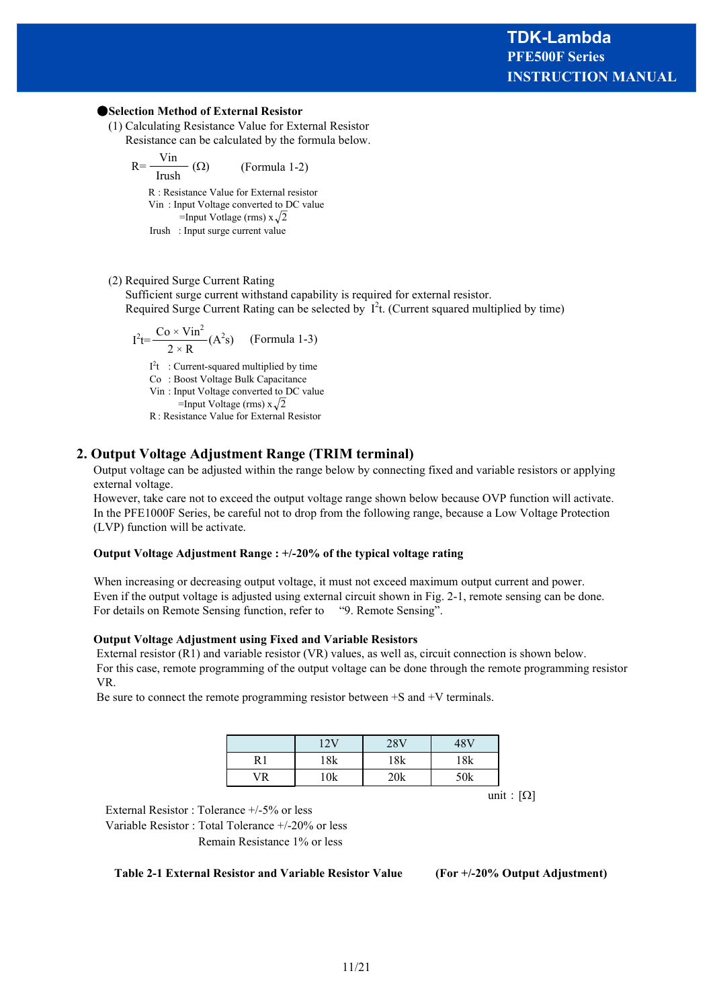#### ●**Selection Method of External Resistor**

 (1) Calculating Resistance Value for External Resistor Resistance can be calculated by the formula below.

$$
R = \frac{Vin}{Irush} (\Omega)
$$
 (Formula 1-2)

R : Resistance Value for External resistor Vin : Input Voltage converted to DC value

=Input Votlage (rms)  $x\sqrt{2}$ 

Irush : Input surge current value

#### (2) Required Surge Current Rating

 Sufficient surge current withstand capability is required for external resistor. Required Surge Current Rating can be selected by  $I^2$ t. (Current squared multiplied by time)

$$
I^{2}t=\frac{Co\times Vin^{2}}{2\times R}(A^{2}s)
$$
 (Formula 1-3)

 $I<sup>2</sup>t$  : Current-squared multiplied by time

Co : Boost Voltage Bulk Capacitance

Vin : Input Voltage converted to DC value

=Input Voltage (rms)  $x\sqrt{2}$ R : Resistance Value for External Resistor

**2. Output Voltage Adjustment Range (TRIM terminal)** Output voltage can be adjusted within the range below by connecting fixed and variable resistors or applying

external voltage. However, take care not to exceed the output voltage range shown below because OVP function will activate. In the PFE1000F Series, be careful not to drop from the following range, because a Low Voltage Protection

(LVP) function will be activate.

#### **Output Voltage Adjustment Range : +/-20% of the typical voltage rating**

When increasing or decreasing output voltage, it must not exceed maximum output current and power. Even if the output voltage is adjusted using external circuit shown in Fig. 2-1, remote sensing can be done. For details on Remote Sensing function, refer to "9. Remote Sensing".

#### **Output Voltage Adjustment using Fixed and Variable Resistors**

 External resistor (R1) and variable resistor (VR) values, as well as, circuit connection is shown below. For this case, remote programming of the output voltage can be done through the remote programming resistor VR.

Be sure to connect the remote programming resistor between +S and +V terminals.

|    | 2U  | 28V | 48 V |
|----|-----|-----|------|
| D  | 18k | 18k | 18k  |
| 7R | 10k | 20k | 50k  |

unit:  $[\Omega]$ 

External Resistor : Tolerance +/-5% or less

Variable Resistor : Total Tolerance +/-20% or less Remain Resistance 1% or less

**Table 2-1 External Resistor and Variable Resistor Value (For +/-20% Output Adjustment)**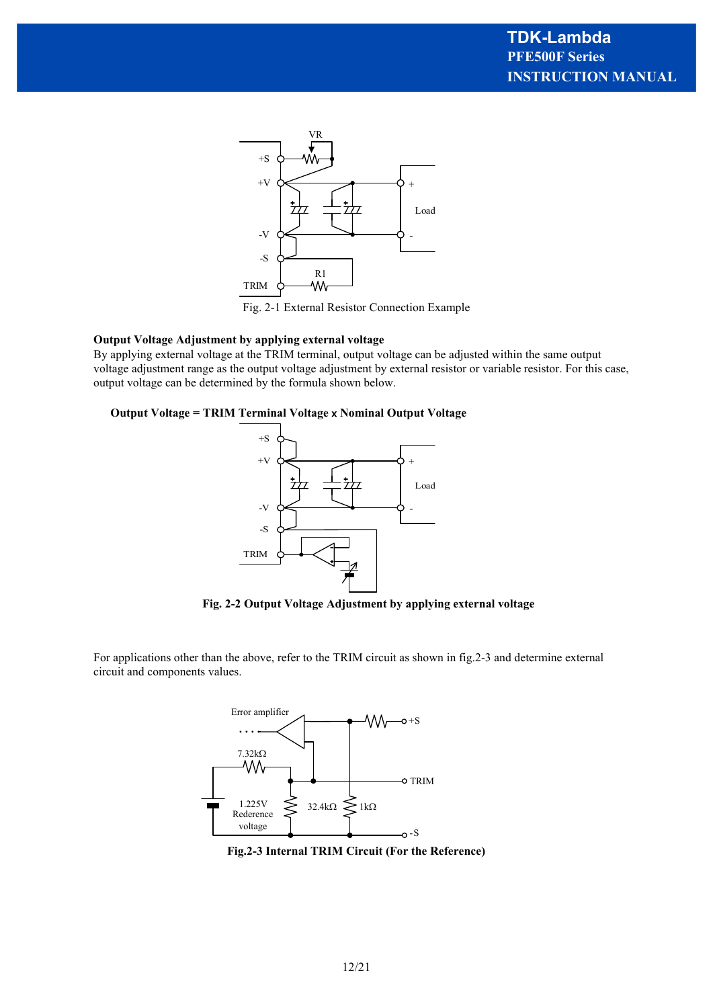

Fig. 2-1 External Resistor Connection Example

#### **Output Voltage Adjustment by applying external voltage**

By applying external voltage at the TRIM terminal, output voltage can be adjusted within the same output voltage adjustment range as the output voltage adjustment by external resistor or variable resistor. For this case, output voltage can be determined by the formula shown below.

#### **Output Voltage = TRIM Terminal Voltage** x **Nominal Output Voltage**



**Fig. 2-2 Output Voltage Adjustment by applying external voltage**

For applications other than the above, refer to the TRIM circuit as shown in fig.2-3 and determine external circuit and components values.



**Fig.2-3 Internal TRIM Circuit (For the Reference)**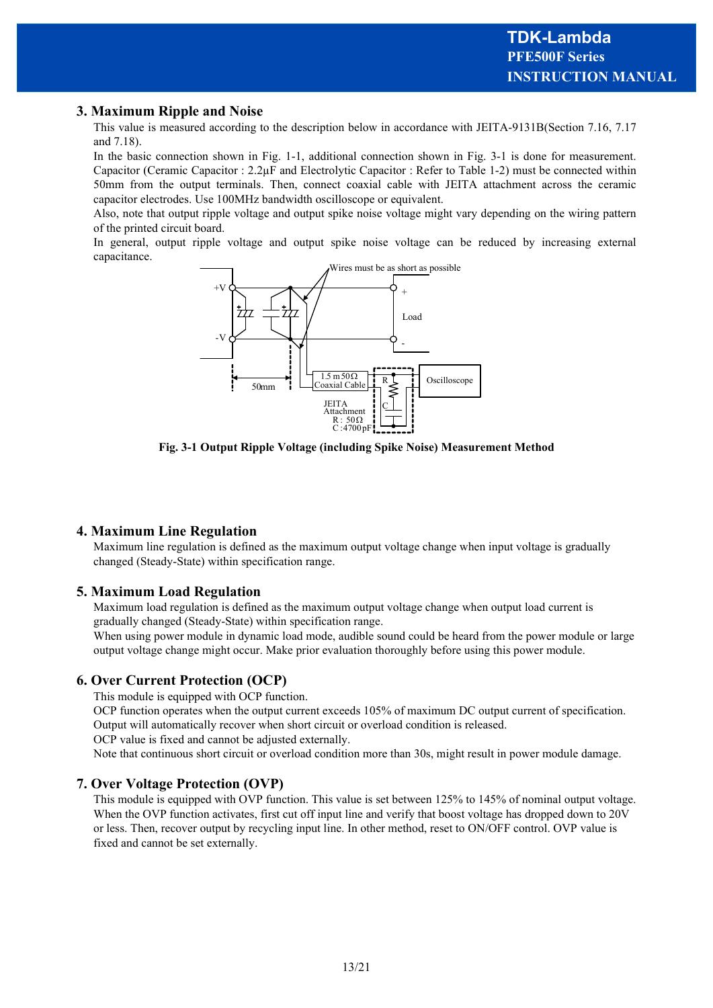# **3. Maximum Ripple and Noise**

This value is measured according to the description below in accordance with JEITA-9131B(Section 7.16, 7.17 and 7.18).

In the basic connection shown in Fig. 1-1, additional connection shown in Fig. 3-1 is done for measurement. Capacitor (Ceramic Capacitor : 2.2µF and Electrolytic Capacitor : Refer to Table 1-2) must be connected within 50mm from the output terminals. Then, connect coaxial cable with JEITA attachment across the ceramic capacitor electrodes. Use 100MHz bandwidth oscilloscope or equivalent.

Also, note that output ripple voltage and output spike noise voltage might vary depending on the wiring pattern of the printed circuit board.

In general, output ripple voltage and output spike noise voltage can be reduced by increasing external capacitance.



**Fig. 3-1 Output Ripple Voltage (including Spike Noise) Measurement Method**

### **4. Maximum Line Regulation**

Maximum line regulation is defined as the maximum output voltage change when input voltage is gradually changed (Steady-State) within specification range.

#### **5. Maximum Load Regulation**

Maximum load regulation is defined as the maximum output voltage change when output load current is gradually changed (Steady-State) within specification range.

When using power module in dynamic load mode, audible sound could be heard from the power module or large output voltage change might occur. Make prior evaluation thoroughly before using this power module.

### **6. Over Current Protection (OCP)**

This module is equipped with OCP function.

OCP function operates when the output current exceeds 105% of maximum DC output current of specification. Output will automatically recover when short circuit or overload condition is released.

OCP value is fixed and cannot be adjusted externally.

Note that continuous short circuit or overload condition more than 30s, might result in power module damage.

### **7. Over Voltage Protection (OVP)**

This module is equipped with OVP function. This value is set between 125% to 145% of nominal output voltage. When the OVP function activates, first cut off input line and verify that boost voltage has dropped down to 20V or less. Then, recover output by recycling input line. In other method, reset to ON/OFF control. OVP value is fixed and cannot be set externally.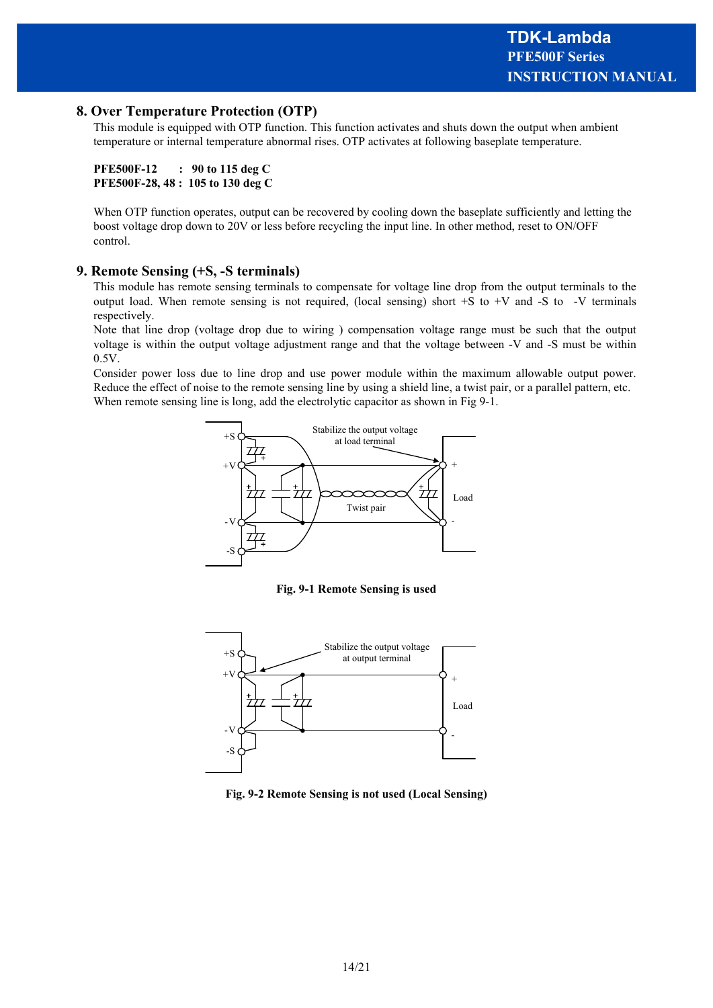# **8. Over Temperature Protection (OTP)**

This module is equipped with OTP function. This function activates and shuts down the output when ambient temperature or internal temperature abnormal rises. OTP activates at following baseplate temperature.

```
PFE500F-12 : 90 to 115 deg C
PFE500F-28, 48 : 105 to 130 deg C
```
When OTP function operates, output can be recovered by cooling down the baseplate sufficiently and letting the boost voltage drop down to 20V or less before recycling the input line. In other method, reset to ON/OFF control.

### **9. Remote Sensing (+S, -S terminals)**

This module has remote sensing terminals to compensate for voltage line drop from the output terminals to the output load. When remote sensing is not required, (local sensing) short +S to +V and -S to -V terminals respectively.

Note that line drop (voltage drop due to wiring ) compensation voltage range must be such that the output voltage is within the output voltage adjustment range and that the voltage between -V and -S must be within 0.5V.

Consider power loss due to line drop and use power module within the maximum allowable output power. Reduce the effect of noise to the remote sensing line by using a shield line, a twist pair, or a parallel pattern, etc. When remote sensing line is long, add the electrolytic capacitor as shown in Fig 9-1.



**Fig. 9-1 Remote Sensing is used**



**Fig. 9-2 Remote Sensing is not used (Local Sensing)**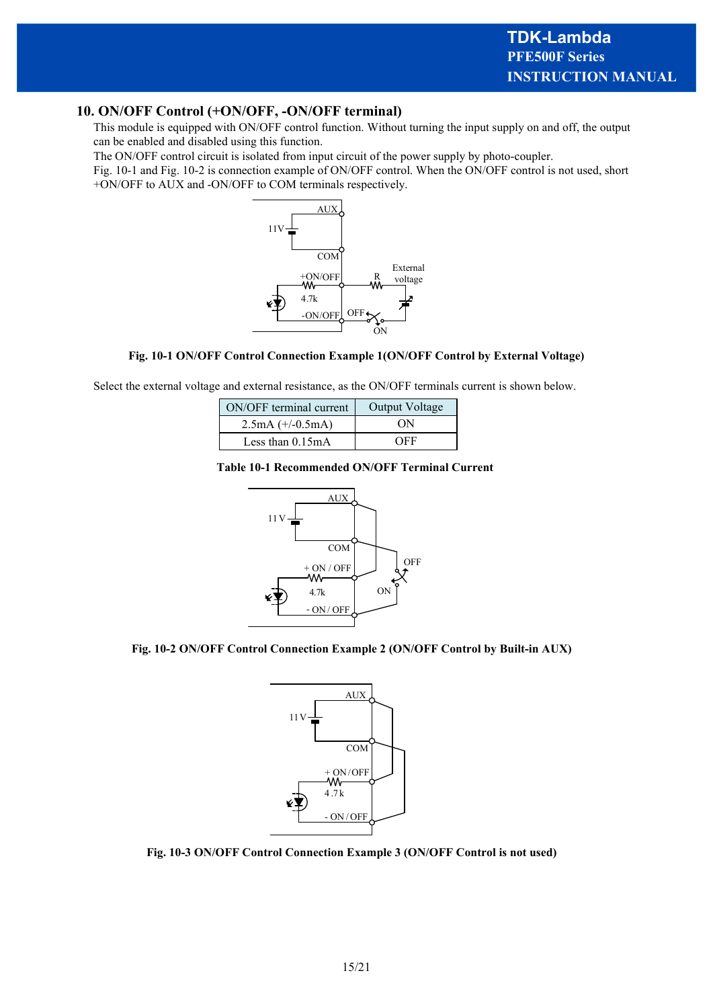# **10. ON/OFF Control (+ON/OFF, -ON/OFF terminal)**

This module is equipped with ON/OFF control function. Without turning the input supply on and off, the output can be enabled and disabled using this function.

The ON/OFF control circuit is isolated from input circuit of the power supply by photo-coupler.

Fig. 10-1 and Fig. 10-2 is connection example of ON/OFF control. When the ON/OFF control is not used, short +ON/OFF to AUX and -ON/OFF to COM terminals respectively.



#### **Fig. 10-1 ON/OFF Control Connection Example 1(ON/OFF Control by External Voltage)**

Select the external voltage and external resistance, as the ON/OFF terminals current is shown below.

| ON/OFF terminal current | Output Voltage |
|-------------------------|----------------|
| $2.5mA (+/-0.5mA)$      | ON             |
| Less than $0.15mA$      | OEE            |

#### **Table 10-1 Recommended ON/OFF Terminal Current**



#### **Fig. 10-2 ON/OFF Control Connection Example 2 (ON/OFF Control by Built-in AUX)**



**Fig. 10-3 ON/OFF Control Connection Example 3 (ON/OFF Control is not used)**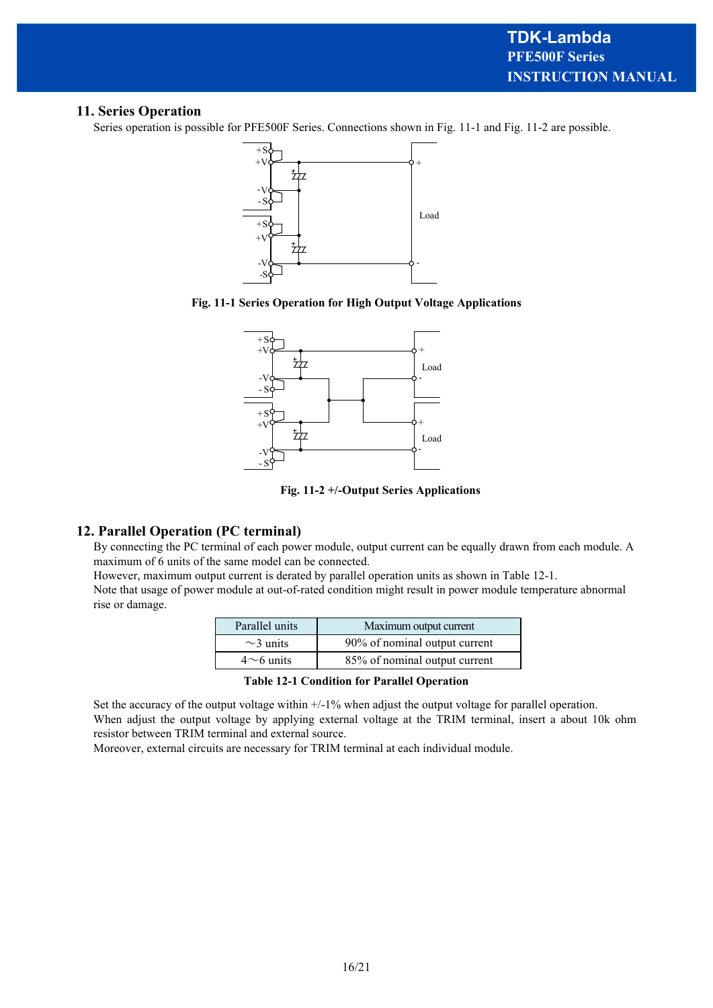# **11. Series Operation**

Series operation is possible for PFE500F Series. Connections shown in Fig. 11-1 and Fig. 11-2 are possible.







**Fig. 11-2 +/-Output Series Applications**

# **12. Parallel Operation (PC terminal)**

By connecting the PC terminal of each power module, output current can be equally drawn from each module. A maximum of 6 units of the same model can be connected.

However, maximum output current is derated by parallel operation units as shown in Table 12-1.

Note that usage of power module at out-of-rated condition might result in power module temperature abnormal rise or damage.

| Parallel units  | Maximum output current        |
|-----------------|-------------------------------|
| $\sim$ 3 units  | 90% of nominal output current |
| $4\sim$ 6 units | 85% of nominal output current |

**Table 12-1 Condition for Parallel Operation**

Set the accuracy of the output voltage within  $+/-1\%$  when adjust the output voltage for parallel operation. When adjust the output voltage by applying external voltage at the TRIM terminal, insert a about 10k ohm resistor between TRIM terminal and external source.

Moreover, external circuits are necessary for TRIM terminal at each individual module.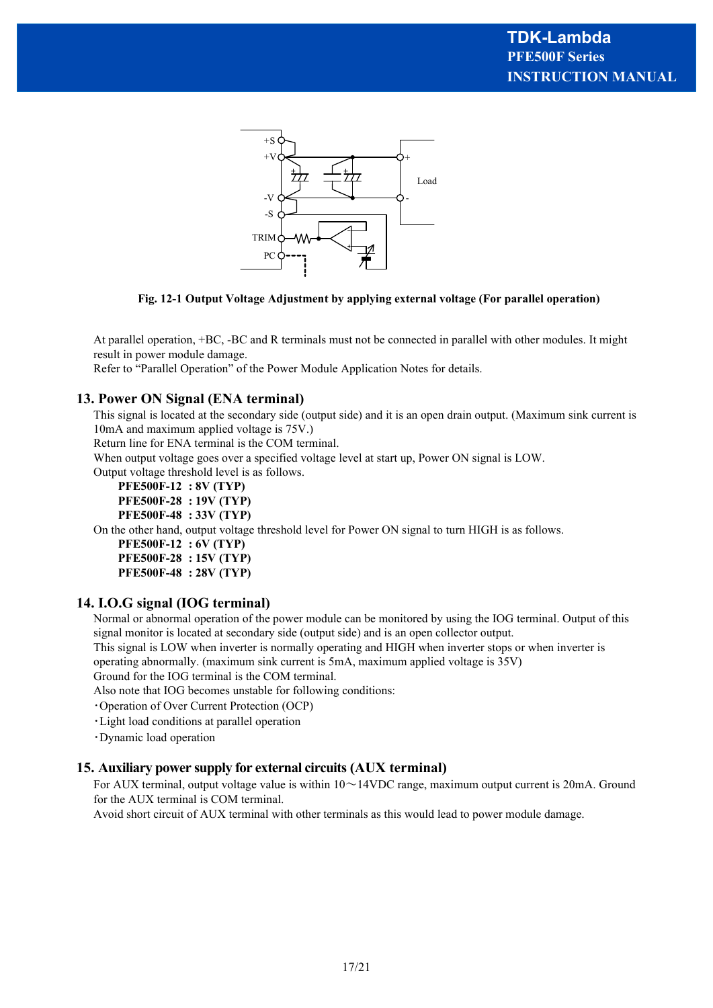

**Fig. 12-1 Output Voltage Adjustment by applying external voltage (For parallel operation)**

At parallel operation, +BC, -BC and R terminals must not be connected in parallel with other modules. It might result in power module damage.

Refer to "Parallel Operation" of the Power Module Application Notes for details.

#### **13. Power ON Signal (ENA terminal)**

This signal is located at the secondary side (output side) and it is an open drain output. (Maximum sink current is 10mA and maximum applied voltage is 75V.)

Return line for ENA terminal is the COM terminal.

When output voltage goes over a specified voltage level at start up, Power ON signal is LOW.

Output voltage threshold level is as follows.

**PFE500F-12 : 8V (TYP)**

**PFE500F-28 : 19V (TYP)**

**PFE500F-48 : 33V (TYP)**

On the other hand, output voltage threshold level for Power ON signal to turn HIGH is as follows.

**PFE500F-12 : 6V (TYP) PFE500F-28 : 15V (TYP)**

**PFE500F-48 : 28V (TYP)**

### **14. I.O.G signal (IOG terminal)**

Normal or abnormal operation of the power module can be monitored by using the IOG terminal. Output of this signal monitor is located at secondary side (output side) and is an open collector output.

This signal is LOW when inverter is normally operating and HIGH when inverter stops or when inverter is operating abnormally. (maximum sink current is 5mA, maximum applied voltage is 35V)

Ground for the IOG terminal is the COM terminal.

Also note that IOG becomes unstable for following conditions:

・Operation of Over Current Protection (OCP)

・Light load conditions at parallel operation

・Dynamic load operation

#### **15. Auxiliary power supply for external circuits (AUX terminal)**

For AUX terminal, output voltage value is within  $10 \sim 14$ VDC range, maximum output current is 20mA. Ground for the AUX terminal is COM terminal.

Avoid short circuit of AUX terminal with other terminals as this would lead to power module damage.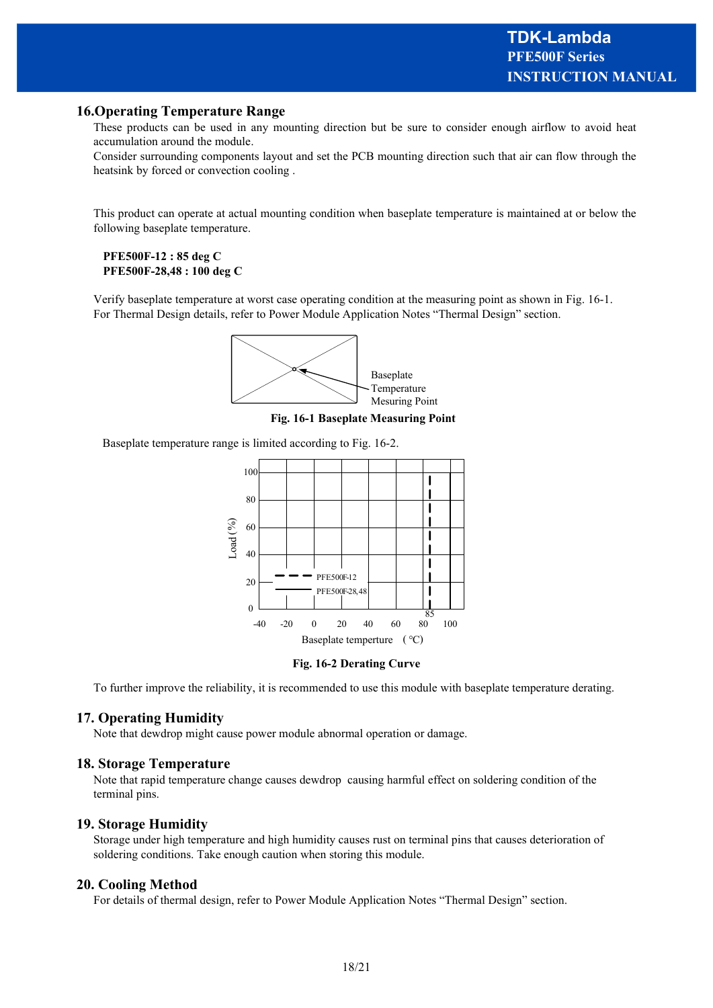# **16.Operating Temperature Range**

These products can be used in any mounting direction but be sure to consider enough airflow to avoid heat accumulation around the module.

Consider surrounding components layout and set the PCB mounting direction such that air can flow through the heatsink by forced or convection cooling .

This product can operate at actual mounting condition when baseplate temperature is maintained at or below the following baseplate temperature.

#### **PFE500F-12 : 85 deg C PFE500F-28,48 : 100 deg C**

Verify baseplate temperature at worst case operating condition at the measuring point as shown in Fig. 16-1. For Thermal Design details, refer to Power Module Application Notes "Thermal Design" section.



**Fig. 16-1 Baseplate Measuring Point**

Baseplate temperature range is limited according to Fig. 16-2.





To further improve the reliability, it is recommended to use this module with baseplate temperature derating.

### **17. Operating Humidity**

Note that dewdrop might cause power module abnormal operation or damage.

#### **18. Storage Temperature**

Note that rapid temperature change causes dewdrop causing harmful effect on soldering condition of the terminal pins.

#### **19. Storage Humidity**

Storage under high temperature and high humidity causes rust on terminal pins that causes deterioration of soldering conditions. Take enough caution when storing this module.

#### **20. Cooling Method**

For details of thermal design, refer to Power Module Application Notes "Thermal Design" section.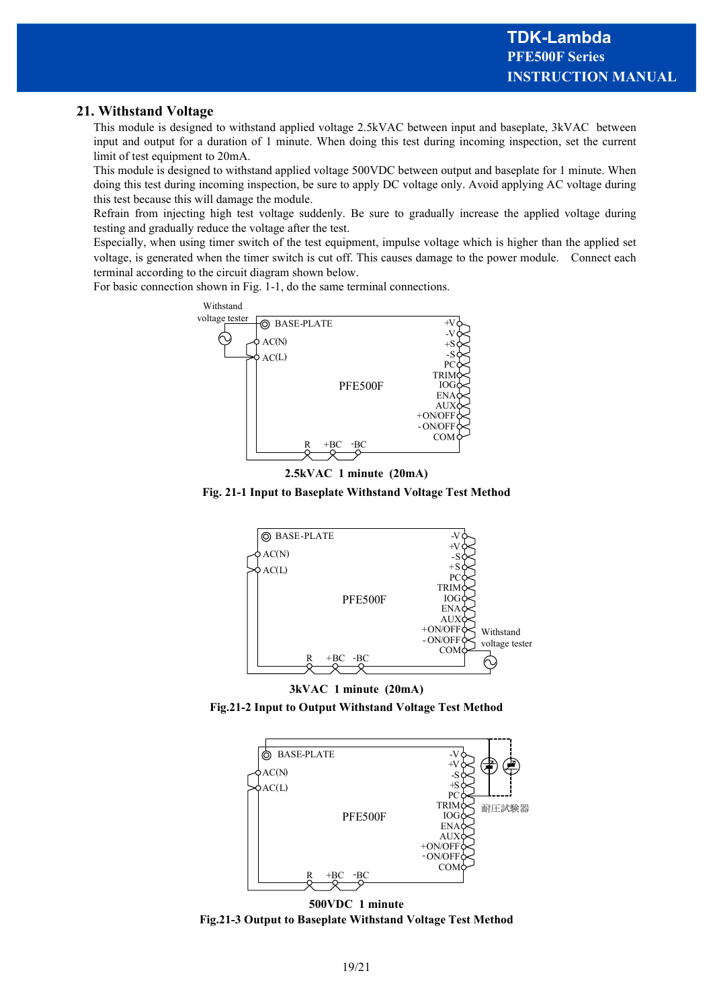# **21. Withstand Voltage**

This module is designed to withstand applied voltage 2.5kVAC between input and baseplate, 3kVAC between input and output for a duration of 1 minute. When doing this test during incoming inspection, set the current limit of test equipment to 20mA.

This module is designed to withstand applied voltage 500VDC between output and baseplate for 1 minute. When doing this test during incoming inspection, be sure to apply DC voltage only. Avoid applying AC voltage during this test because this will damage the module.

Refrain from injecting high test voltage suddenly. Be sure to gradually increase the applied voltage during testing and gradually reduce the voltage after the test.

Especially, when using timer switch of the test equipment, impulse voltage which is higher than the applied set voltage, is generated when the timer switch is cut off. This causes damage to the power module. Connect each terminal according to the circuit diagram shown below.

For basic connection shown in Fig. 1-1, do the same terminal connections.





**Fig. 21-1 Input to Baseplate Withstand Voltage Test Method**









**500VDC 1 minute Fig.21-3 Output to Baseplate Withstand Voltage Test Method**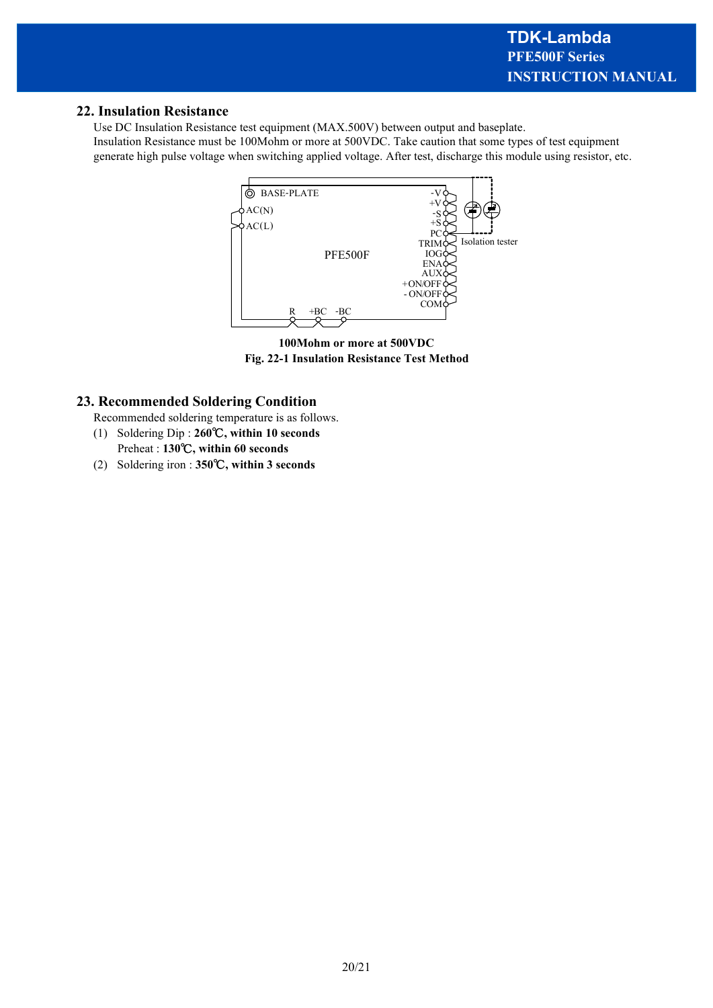# **22. Insulation Resistance**

Use DC Insulation Resistance test equipment (MAX.500V) between output and baseplate. Insulation Resistance must be 100Mohm or more at 500VDC. Take caution that some types of test equipment generate high pulse voltage when switching applied voltage. After test, discharge this module using resistor, etc.



**100Mohm or more at 500VDC Fig. 22-1 Insulation Resistance Test Method**

# **23. Recommended Soldering Condition**

- Recommended soldering temperature is as follows.
- (1) Soldering Dip : **260**℃**, within 10 seconds** Preheat : **130**℃**, within 60 seconds**
- (2) Soldering iron : **350**℃**, within 3 seconds**